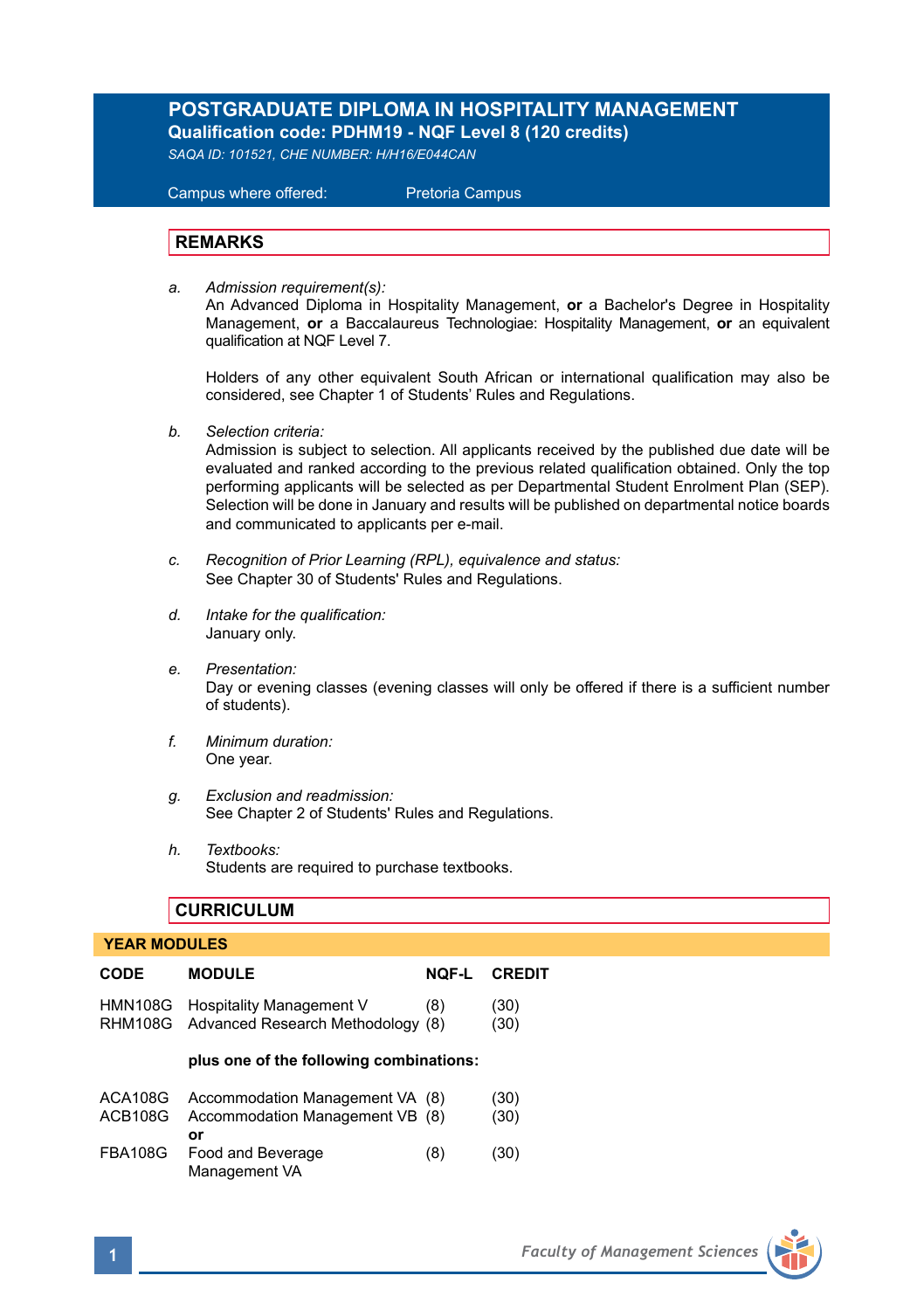# **POSTGRADUATE DIPLOMA IN HOSPITALITY MANAGEMENT Qualification code: PDHM19 - NQF Level 8 (120 credits)**

*SAQA ID: 101521, CHE NUMBER: H/H16/E044CAN* 

 Campus where offered: Pretoria Campus

## **REMARKS**

*a. Admission requirement(s):* 

An Advanced Diploma in Hospitality Management, **or** a Bachelor's Degree in Hospitality Management, **or** a Baccalaureus Technologiae: Hospitality Management, **or** an equivalent qualification at NQF Level 7.

Holders of any other equivalent South African or international qualification may also be considered, see Chapter 1 of Students' Rules and Regulations.

*b. Selection criteria:*

Admission is subject to selection. All applicants received by the published due date will be evaluated and ranked according to the previous related qualification obtained. Only the top performing applicants will be selected as per Departmental Student Enrolment Plan (SEP). Selection will be done in January and results will be published on departmental notice boards and communicated to applicants per e-mail.

- *c. Recognition of Prior Learning (RPL), equivalence and status:* See Chapter 30 of Students' Rules and Regulations.
- *d. Intake for the qualification:* January only.
- *e. Presentation:* Day or evening classes (evening classes will only be offered if there is a sufficient number of students).
- *f. Minimum duration:* One year.
- *g. Exclusion and readmission:* See Chapter 2 of Students' Rules and Regulations.
- *h. Textbooks:* Students are required to purchase textbooks.

## **CURRICULUM**

## **YEAR MODULES**

| <b>CODE</b> | <b>MODULE</b>                                                                 | <b>NQF-L</b> | <b>CREDIT</b> |
|-------------|-------------------------------------------------------------------------------|--------------|---------------|
|             | HMN108G Hospitality Management V<br>RHM108G Advanced Research Methodology (8) | (8)          | (30)<br>(30)  |
|             |                                                                               |              |               |
|             | plus one of the following combinations:                                       |              |               |

**or** FBA108G Food and Beverage (8) (30) Management VA